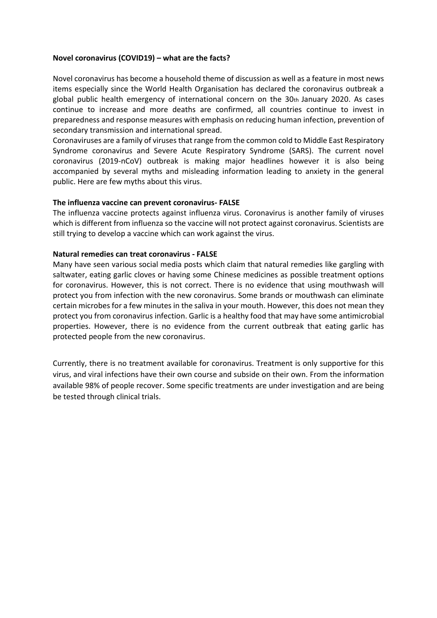# **Novel coronavirus (COVID19) – what are the facts?**

Novel coronavirus has become a household theme of discussion as well as a feature in most news items especially since the World Health Organisation has declared the coronavirus outbreak a global public health emergency of international concern on the 30th January 2020. As cases continue to increase and more deaths are confirmed, all countries continue to invest in preparedness and response measures with emphasis on reducing human infection, prevention of secondary transmission and international spread.

Coronaviruses are a family of viruses that range from the common cold to Middle East Respiratory Syndrome coronavirus and Severe Acute Respiratory Syndrome (SARS). The current novel coronavirus (2019-nCoV) outbreak is making major headlines however it is also being accompanied by several myths and misleading information leading to anxiety in the general public. Here are few myths about this virus.

### **The influenza vaccine can prevent coronavirus- FALSE**

The influenza vaccine protects against influenza virus. Coronavirus is another family of viruses which is different from influenza so the vaccine will not protect against coronavirus. Scientists are still trying to develop a vaccine which can work against the virus.

## **Natural remedies can treat coronavirus - FALSE**

Many have seen various social media posts which claim that natural remedies like gargling with saltwater, eating garlic cloves or having some Chinese medicines as possible treatment options for coronavirus. However, this is not correct. There is no evidence that using mouthwash will protect you from infection with the new coronavirus. Some brands or mouthwash can eliminate certain microbes for a few minutes in the saliva in your mouth. However, this does not mean they protect you from coronavirus infection. Garlic is a healthy food that may have some antimicrobial properties. However, there is no evidence from the current outbreak that eating garlic has protected people from the new coronavirus.

Currently, there is no treatment available for coronavirus. Treatment is only supportive for this virus, and viral infections have their own course and subside on their own. From the information available 98% of people recover. Some specific treatments are under investigation and are being be tested through clinical trials.